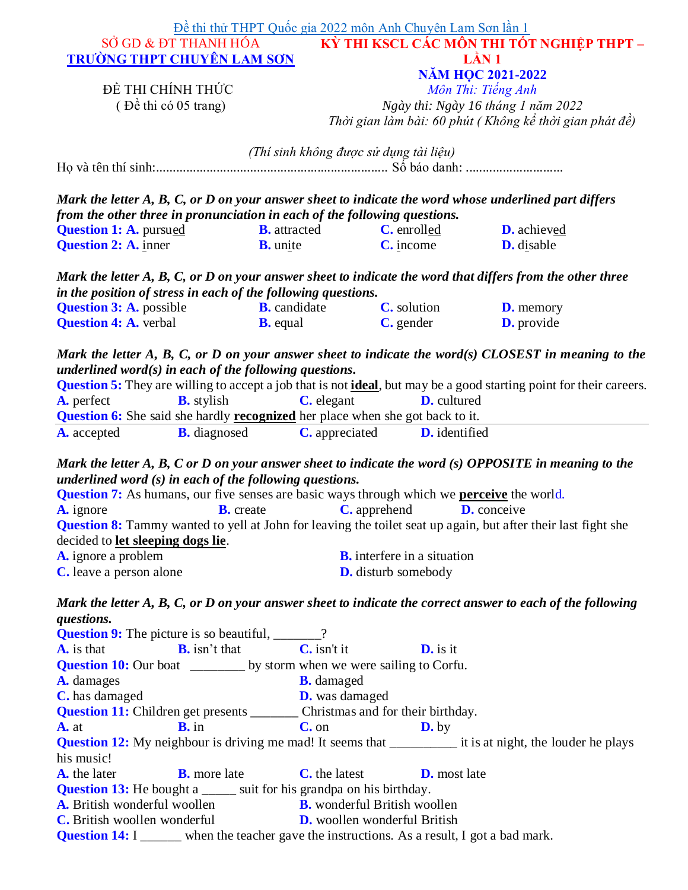| SỞ GD & ĐT THANH HÓA                                                                                                                                                                                                                                                                                                                                                                                                                                                                                                                                                                                                                                                                                                                                                                                                                                                                                                                                                                                                                                                                                                                                                                                                                                                                                                                 | Đề thi thử THPT Quốc gia 2022 môn Anh Chuyên Lam Sơn lần 1      |                                                                                             | KỪ THI KSCL CÁC MÔN THI TỐT NGHIỆP THPT –               |
|--------------------------------------------------------------------------------------------------------------------------------------------------------------------------------------------------------------------------------------------------------------------------------------------------------------------------------------------------------------------------------------------------------------------------------------------------------------------------------------------------------------------------------------------------------------------------------------------------------------------------------------------------------------------------------------------------------------------------------------------------------------------------------------------------------------------------------------------------------------------------------------------------------------------------------------------------------------------------------------------------------------------------------------------------------------------------------------------------------------------------------------------------------------------------------------------------------------------------------------------------------------------------------------------------------------------------------------|-----------------------------------------------------------------|---------------------------------------------------------------------------------------------|---------------------------------------------------------|
|                                                                                                                                                                                                                                                                                                                                                                                                                                                                                                                                                                                                                                                                                                                                                                                                                                                                                                                                                                                                                                                                                                                                                                                                                                                                                                                                      |                                                                 |                                                                                             | LÂN 1                                                   |
| <b>TRUÒNG THPT CHUYÊN LAM SON</b>                                                                                                                                                                                                                                                                                                                                                                                                                                                                                                                                                                                                                                                                                                                                                                                                                                                                                                                                                                                                                                                                                                                                                                                                                                                                                                    |                                                                 |                                                                                             |                                                         |
| ĐỀ THI CHÍNH THỨC                                                                                                                                                                                                                                                                                                                                                                                                                                                                                                                                                                                                                                                                                                                                                                                                                                                                                                                                                                                                                                                                                                                                                                                                                                                                                                                    |                                                                 |                                                                                             | <b>NĂM HỌC 2021-2022</b>                                |
|                                                                                                                                                                                                                                                                                                                                                                                                                                                                                                                                                                                                                                                                                                                                                                                                                                                                                                                                                                                                                                                                                                                                                                                                                                                                                                                                      |                                                                 |                                                                                             | Môn Thi: Tiếng Anh                                      |
| $(D2$ chi có 05 trang)                                                                                                                                                                                                                                                                                                                                                                                                                                                                                                                                                                                                                                                                                                                                                                                                                                                                                                                                                                                                                                                                                                                                                                                                                                                                                                               |                                                                 |                                                                                             | Ngày thi: Ngày 16 tháng 1 năm 2022                      |
|                                                                                                                                                                                                                                                                                                                                                                                                                                                                                                                                                                                                                                                                                                                                                                                                                                                                                                                                                                                                                                                                                                                                                                                                                                                                                                                                      |                                                                 |                                                                                             | Thời gian làm bài: 60 phút (Không kể thời gian phát đề) |
|                                                                                                                                                                                                                                                                                                                                                                                                                                                                                                                                                                                                                                                                                                                                                                                                                                                                                                                                                                                                                                                                                                                                                                                                                                                                                                                                      | (Thí sinh không được sử dụng tài liệu)                          |                                                                                             |                                                         |
|                                                                                                                                                                                                                                                                                                                                                                                                                                                                                                                                                                                                                                                                                                                                                                                                                                                                                                                                                                                                                                                                                                                                                                                                                                                                                                                                      |                                                                 |                                                                                             |                                                         |
| Mark the letter A, B, C, or D on your answer sheet to indicate the word whose underlined part differs                                                                                                                                                                                                                                                                                                                                                                                                                                                                                                                                                                                                                                                                                                                                                                                                                                                                                                                                                                                                                                                                                                                                                                                                                                |                                                                 |                                                                                             |                                                         |
| from the other three in pronunciation in each of the following questions.                                                                                                                                                                                                                                                                                                                                                                                                                                                                                                                                                                                                                                                                                                                                                                                                                                                                                                                                                                                                                                                                                                                                                                                                                                                            |                                                                 |                                                                                             |                                                         |
| <b>Question 1: A. pursued</b>                                                                                                                                                                                                                                                                                                                                                                                                                                                                                                                                                                                                                                                                                                                                                                                                                                                                                                                                                                                                                                                                                                                                                                                                                                                                                                        | <b>B.</b> attracted                                             | C. enrolled                                                                                 | <b>D.</b> achieved                                      |
| <b>Question 2: A. inner</b>                                                                                                                                                                                                                                                                                                                                                                                                                                                                                                                                                                                                                                                                                                                                                                                                                                                                                                                                                                                                                                                                                                                                                                                                                                                                                                          | $B.$ unite                                                      | $C.$ income                                                                                 | D. disable                                              |
| Mark the letter A, B, C, or D on your answer sheet to indicate the word that differs from the other three                                                                                                                                                                                                                                                                                                                                                                                                                                                                                                                                                                                                                                                                                                                                                                                                                                                                                                                                                                                                                                                                                                                                                                                                                            |                                                                 |                                                                                             |                                                         |
| in the position of stress in each of the following questions.                                                                                                                                                                                                                                                                                                                                                                                                                                                                                                                                                                                                                                                                                                                                                                                                                                                                                                                                                                                                                                                                                                                                                                                                                                                                        |                                                                 |                                                                                             |                                                         |
| <b>Question 3: A.</b> possible                                                                                                                                                                                                                                                                                                                                                                                                                                                                                                                                                                                                                                                                                                                                                                                                                                                                                                                                                                                                                                                                                                                                                                                                                                                                                                       | <b>B.</b> candidate                                             | <b>C.</b> solution                                                                          | <b>D.</b> memory                                        |
| <b>Question 4: A. verbal</b>                                                                                                                                                                                                                                                                                                                                                                                                                                                                                                                                                                                                                                                                                                                                                                                                                                                                                                                                                                                                                                                                                                                                                                                                                                                                                                         | <b>B.</b> equal                                                 | C. gender                                                                                   | D. provide                                              |
|                                                                                                                                                                                                                                                                                                                                                                                                                                                                                                                                                                                                                                                                                                                                                                                                                                                                                                                                                                                                                                                                                                                                                                                                                                                                                                                                      |                                                                 | <b>Question 6:</b> She said she hardly <b>recognized</b> her place when she got back to it. |                                                         |
|                                                                                                                                                                                                                                                                                                                                                                                                                                                                                                                                                                                                                                                                                                                                                                                                                                                                                                                                                                                                                                                                                                                                                                                                                                                                                                                                      | <b>B.</b> diagnosed                                             | <b>C.</b> appreciated<br>D. identified                                                      |                                                         |
|                                                                                                                                                                                                                                                                                                                                                                                                                                                                                                                                                                                                                                                                                                                                                                                                                                                                                                                                                                                                                                                                                                                                                                                                                                                                                                                                      | <b>B.</b> create                                                | <b>C.</b> apprehend                                                                         | <b>D.</b> conceive                                      |
|                                                                                                                                                                                                                                                                                                                                                                                                                                                                                                                                                                                                                                                                                                                                                                                                                                                                                                                                                                                                                                                                                                                                                                                                                                                                                                                                      |                                                                 |                                                                                             |                                                         |
|                                                                                                                                                                                                                                                                                                                                                                                                                                                                                                                                                                                                                                                                                                                                                                                                                                                                                                                                                                                                                                                                                                                                                                                                                                                                                                                                      |                                                                 |                                                                                             |                                                         |
|                                                                                                                                                                                                                                                                                                                                                                                                                                                                                                                                                                                                                                                                                                                                                                                                                                                                                                                                                                                                                                                                                                                                                                                                                                                                                                                                      |                                                                 | <b>B.</b> interfere in a situation                                                          |                                                         |
|                                                                                                                                                                                                                                                                                                                                                                                                                                                                                                                                                                                                                                                                                                                                                                                                                                                                                                                                                                                                                                                                                                                                                                                                                                                                                                                                      |                                                                 | <b>D.</b> disturb somebody                                                                  |                                                         |
|                                                                                                                                                                                                                                                                                                                                                                                                                                                                                                                                                                                                                                                                                                                                                                                                                                                                                                                                                                                                                                                                                                                                                                                                                                                                                                                                      |                                                                 |                                                                                             |                                                         |
|                                                                                                                                                                                                                                                                                                                                                                                                                                                                                                                                                                                                                                                                                                                                                                                                                                                                                                                                                                                                                                                                                                                                                                                                                                                                                                                                      |                                                                 |                                                                                             |                                                         |
|                                                                                                                                                                                                                                                                                                                                                                                                                                                                                                                                                                                                                                                                                                                                                                                                                                                                                                                                                                                                                                                                                                                                                                                                                                                                                                                                      |                                                                 |                                                                                             |                                                         |
|                                                                                                                                                                                                                                                                                                                                                                                                                                                                                                                                                                                                                                                                                                                                                                                                                                                                                                                                                                                                                                                                                                                                                                                                                                                                                                                                      | $\mathbf{B}$ , isn't that $\qquad \qquad \mathbf{C}$ , isn't it | $\mathbf{D}$ , is it                                                                        |                                                         |
|                                                                                                                                                                                                                                                                                                                                                                                                                                                                                                                                                                                                                                                                                                                                                                                                                                                                                                                                                                                                                                                                                                                                                                                                                                                                                                                                      |                                                                 |                                                                                             |                                                         |
|                                                                                                                                                                                                                                                                                                                                                                                                                                                                                                                                                                                                                                                                                                                                                                                                                                                                                                                                                                                                                                                                                                                                                                                                                                                                                                                                      | <b>B.</b> damaged                                               |                                                                                             |                                                         |
|                                                                                                                                                                                                                                                                                                                                                                                                                                                                                                                                                                                                                                                                                                                                                                                                                                                                                                                                                                                                                                                                                                                                                                                                                                                                                                                                      | <b>D.</b> was damaged                                           |                                                                                             |                                                         |
|                                                                                                                                                                                                                                                                                                                                                                                                                                                                                                                                                                                                                                                                                                                                                                                                                                                                                                                                                                                                                                                                                                                                                                                                                                                                                                                                      |                                                                 |                                                                                             |                                                         |
| $\mathbf{B}$ , in                                                                                                                                                                                                                                                                                                                                                                                                                                                                                                                                                                                                                                                                                                                                                                                                                                                                                                                                                                                                                                                                                                                                                                                                                                                                                                                    | $C.$ on                                                         | $\mathbf{D}$ , by                                                                           |                                                         |
|                                                                                                                                                                                                                                                                                                                                                                                                                                                                                                                                                                                                                                                                                                                                                                                                                                                                                                                                                                                                                                                                                                                                                                                                                                                                                                                                      |                                                                 |                                                                                             |                                                         |
|                                                                                                                                                                                                                                                                                                                                                                                                                                                                                                                                                                                                                                                                                                                                                                                                                                                                                                                                                                                                                                                                                                                                                                                                                                                                                                                                      |                                                                 |                                                                                             |                                                         |
| <b>B.</b> more late                                                                                                                                                                                                                                                                                                                                                                                                                                                                                                                                                                                                                                                                                                                                                                                                                                                                                                                                                                                                                                                                                                                                                                                                                                                                                                                  | <b>C.</b> the latest                                            | <b>D.</b> most late                                                                         |                                                         |
|                                                                                                                                                                                                                                                                                                                                                                                                                                                                                                                                                                                                                                                                                                                                                                                                                                                                                                                                                                                                                                                                                                                                                                                                                                                                                                                                      |                                                                 |                                                                                             |                                                         |
| <b>A.</b> accepted<br>Mark the letter $A$ , $B$ , $C$ or $D$ on your answer sheet to indicate the word $(s)$ OPPOSITE in meaning to the<br>underlined word $(s)$ in each of the following questions.<br><b>Question 7:</b> As humans, our five senses are basic ways through which we <b>perceive</b> the world.<br><b>A.</b> ignore<br><b>Question 8:</b> Tammy wanted to yell at John for leaving the toilet seat up again, but after their last fight she<br>decided to let sleeping dogs lie.<br>A. ignore a problem<br>C. leave a person alone<br>Mark the letter A, B, C, or D on your answer sheet to indicate the correct answer to each of the following<br>questions.<br><b>Question 9:</b> The picture is so beautiful, ______?<br>$\mathbf{A}$ is that<br><b>Question 10:</b> Our boat ________ by storm when we were sailing to Corfu.<br>A. damages<br>C. has damaged<br><b>Question 11:</b> Children get presents _______ Christmas and for their birthday.<br>$A.$ at<br><b>Question 12:</b> My neighbour is driving me mad! It seems that _____________ it is at night, the louder he plays<br>his music!<br>A. the later<br><b>Question 13:</b> He bought a _____ suit for his grandpa on his birthday.<br>A. British wonderful woollen <b>B.</b> wonderful British woollen<br><b>C.</b> British woollen wonderful |                                                                 | <b>D.</b> woollen wonderful British                                                         |                                                         |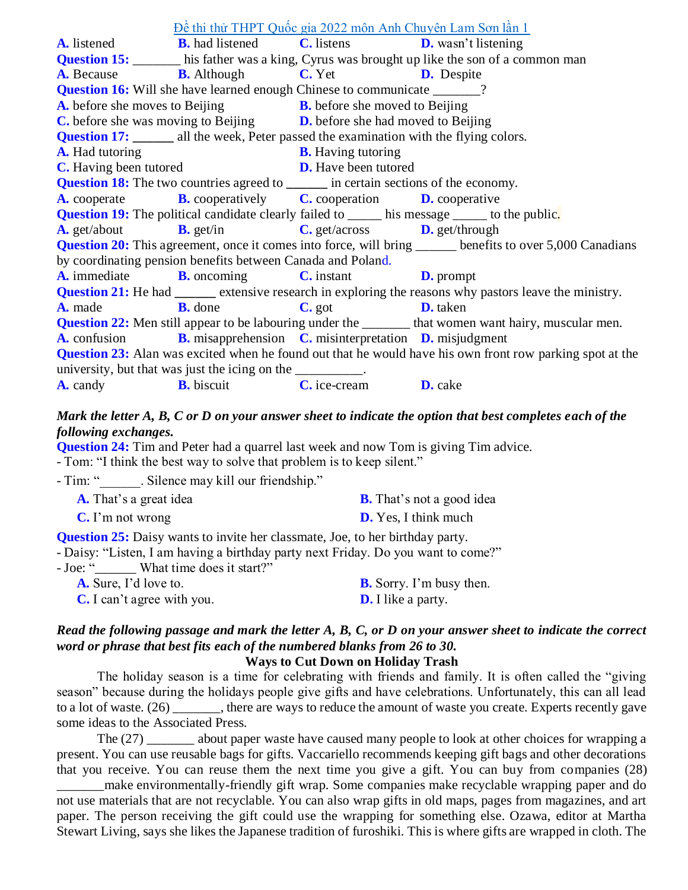[Đề thi thử THPT Quốc gia 2022 môn Anh Chuyên Lam Sơn lần 1](https://doctailieu.com/de-thi-thu-thpt-quoc-gia-2022-mon-anh-chuyen-lam-son-lan-1) **A.** listened **B.** had listened **C.** listens **D.** wasn't listening **Question 15:** his father was a king, Cyrus was brought up like the son of a common man **A.** Because **B.** Although **C.** Yet **D.** Despite **Question 16:** Will she have learned enough Chinese to communicate  $\frac{1}{2}$ ? **A.** before she moves to Beijing **B.** before she moved to Beijing **C.** before she was moving to Beijing **D.** before she had moved to Beijing **Question 17: all the week, Peter passed the examination with the flying colors. A.** Had tutoring **B.** Having tutoring **C.** Having been tutored **D.** Have been tutored **Question 18:** The two countries agreed to *in certain sections of the economy.* **A.** cooperate **B.** cooperatively **C.** cooperation **D.** cooperative **Question 19:** The [political](https://dictionary.cambridge.org/dictionary/english/campaign) candidate [clearly](https://dictionary.cambridge.org/dictionary/english/clearly) [failed](https://dictionary.cambridge.org/dictionary/english/failed) to \_\_\_\_\_\_ his [message](https://dictionary.cambridge.org/dictionary/english/message) \_\_\_\_\_\_ to the [public.](https://dictionary.cambridge.org/dictionary/english/public) **A.** get/about **B.** get/in **C.** get/across **D.** get/through **Question 20:** This agreement, once it comes into force, will bring benefits to over 5,000 Canadians by coordinating pension benefits between Canada and Poland. **A.** immediate **B.** oncoming **C.** instant **D.** prompt **Question 21:** He had <u>[extensive](https://www.collinsdictionary.com/dictionary/english/extensive) research in [exploring](https://www.collinsdictionary.com/dictionary/english/explore) the [reasons](https://www.collinsdictionary.com/dictionary/english/reason) why [pastors](https://www.collinsdictionary.com/dictionary/english/pastor) leave the [ministry.](https://www.collinsdictionary.com/dictionary/english/ministry)</u> **A.** made **B.** done **C.** got **D.** taken **Question 22:** Men still appear to be labouring under the that women want hairy, muscular men. **A.** confusion **B.** misapprehension **C.** misinterpretation **D.** misjudgment **Question 23:** Alan was excited when he found out that he would have his own front row parking spot at the university, but that was just the icing on the **A.** candy **B.** biscuit **C.** ice-cream **D.** cake

#### *Mark the letter A, B, C or D on your answer sheet to indicate the option that best completes each of the following exchanges.*

**Question 24:** Tim and Peter had a quarrel last week and now Tom is giving Tim advice.

- Tom: "I think the best way to solve that problem is to keep silent."

- Tim: ". Silence may kill our friendship."

| <b>A.</b> That's a great idea | <b>B.</b> That's not a good idea |
|-------------------------------|----------------------------------|
| $\mathbf{C}$ . I'm not wrong  | <b>D.</b> Yes, I think much      |

**Question 25:** Daisy wants to invite her classmate, Joe, to her birthday party.

- Daisy: "Listen, I am having a birthday party next Friday. Do you want to come?"

- Joe: " What time does it start?"

| <b>A.</b> Sure, I'd love to.      | <b>B.</b> Sorry. I'm busy then. |
|-----------------------------------|---------------------------------|
| <b>C.</b> I can't agree with you. | <b>D.</b> I like a party.       |

### *Read the following passage and mark the letter A, B, C, or D on your answer sheet to indicate the correct word or phrase that best fits each of the numbered blanks from 26 to 30.*

#### **Ways to Cut Down on Holiday Trash**

The holiday season is a time for celebrating with friends and family. It is often called the "giving season" because during the holidays people give gifts and have celebrations. Unfortunately, this can all lead to a lot of waste. (26) \_\_\_\_\_\_\_, there are ways to reduce the amount of waste you create. Experts recently gave some ideas to the Associated Press.

The (27) \_\_\_\_\_\_\_ about paper waste have caused many people to look at other choices for wrapping a present. You can use reusable bags for gifts. Vaccariello recommends keeping gift bags and other decorations that you receive. You can reuse them the next time you give a gift. You can buy from companies (28)

make environmentally-friendly gift wrap. Some companies make recyclable wrapping paper and do not use materials that are not recyclable. You can also wrap gifts in old maps, pages from magazines, and art paper. The person receiving the gift could use the wrapping for something else. Ozawa, editor at Martha Stewart Living, says she likes the Japanese tradition of furoshiki. This is where gifts are wrapped in cloth. The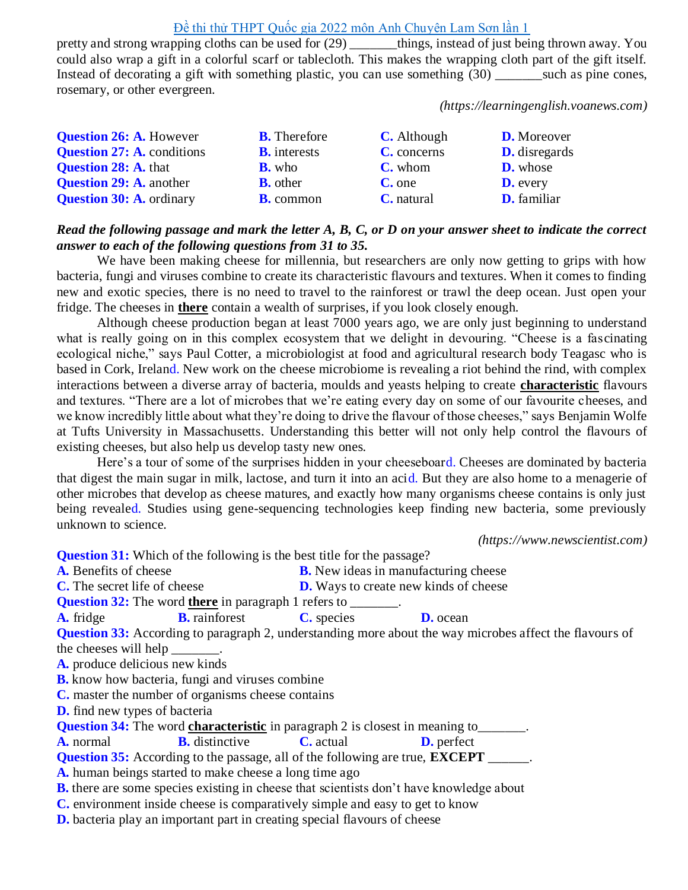pretty and strong wrapping cloths can be used for (29) \_\_\_\_\_\_\_things, instead of just being thrown away. You could also wrap a gift in a colorful scarf or tablecloth. This makes the wrapping cloth part of the gift itself. Instead of decorating a gift with something plastic, you can use something (30) \_\_\_\_\_\_\_\_\_\_such as pine cones, rosemary, or other evergreen.

*(https://learningenglish.voanews.com)*

| <b>Question 26: A. However</b>    | <b>B.</b> Therefore | <b>C.</b> Although | <b>D.</b> Moreover   |
|-----------------------------------|---------------------|--------------------|----------------------|
| <b>Question 27: A. conditions</b> | <b>B.</b> interests | C. concerns        | <b>D.</b> disregards |
| <b>Question 28: A. that</b>       | <b>B.</b> who       | <b>C.</b> whom     | <b>D.</b> whose      |
| <b>Question 29: A. another</b>    | <b>B.</b> other     | $C$ , one          | <b>D.</b> every      |
| <b>Question 30: A. ordinary</b>   | <b>B.</b> common    | <b>C.</b> natural  | <b>D.</b> familiar   |

#### *Read the following passage and mark the letter A, B, C, or D on your answer sheet to indicate the correct answer to each of the following questions from 31 to 35.*

We have been making cheese for millennia, but researchers are only now getting to grips with how bacteria, fungi and viruses combine to create its characteristic flavours and textures. When it comes to finding new and exotic species, there is no need to travel to the rainforest or trawl the deep ocean. Just open your fridge. The cheeses in **there** contain a wealth of surprises, if you look closely enough.

Although cheese production [began](https://journals.plos.org/plosone/article?id=10.1371/journal.pone.0202807) at least 7000 years ago, we are only just beginning to understand what is really going on in this complex ecosystem that we delight in devouring. "Cheese is a fascinating ecological niche," says Paul [Cotter,](https://www.teagasc.ie/contact/staff-directory/c/paul-d-cotter/) a microbiologist at food and agricultural research body Teagasc who is based in Cork, Ireland. New work on the cheese microbiome is revealing a riot behind the rind, with complex interactions between a diverse array of bacteria, moulds and yeasts helping to create **characteristic** flavours and textures. "There are a lot of microbes that we're eating every day on some of our favourite cheeses, and we know incredibly little about what they're doing to drive the flavour of those cheeses," says [Benjamin](https://sites.tufts.edu/wolfelab/) Wolfe at Tufts University in [Massachusetts.](https://sites.tufts.edu/wolfelab/) Understanding this better will not only help control the flavours of existing cheeses, but also help us develop tasty new ones.

Here's a tour of some of the surprises hidden in your cheeseboard. Cheeses are dominated by bacteria that digest the main sugar in milk, lactose, and turn it into an acid. But they are also home to a menagerie of other microbes that develop as cheese matures, and exactly how many organisms cheese contains is only just being revealed. Studies using gene-sequencing technologies keep finding new bacteria, some previously unknown to science.

*[\(https://www.newscientist.com\)](https://www.newscientist.com/)*

**Question 31:** Which of the following is the best title for the passage? **A.** Benefits of cheese **B.** New ideas in manufacturing cheese **C.** The secret life of cheese **D.** Ways to create new kinds of cheese **Question 32:** The word **there** in paragraph 1 refers to  $\qquad \qquad$ . **A.** fridge **B.** rainforest **C.** species **D.** ocean **Question 33:** According to paragraph 2, understanding more about the way microbes affect the flavours of the cheeses will help **A.** produce delicious new kinds **B.** know how bacteria, fungi and viruses combine **C.** master the number of organisms cheese contains **D.** find new types of bacteria **Question 34:** The word **characteristic** in paragraph 2 is closest in meaning to\_\_\_\_\_\_. **A.** normal **B.** distinctive **C.** actual **D.** perfect **Question 35:** According to the passage, all of the following are true, **EXCEPT A.** human beings started to make cheese a long time ago **B.** there are some species existing in cheese that scientists don't have knowledge about **C.** environment inside cheese is comparatively simple and easy to get to know **D.** bacteria play an important part in creating special flavours of cheese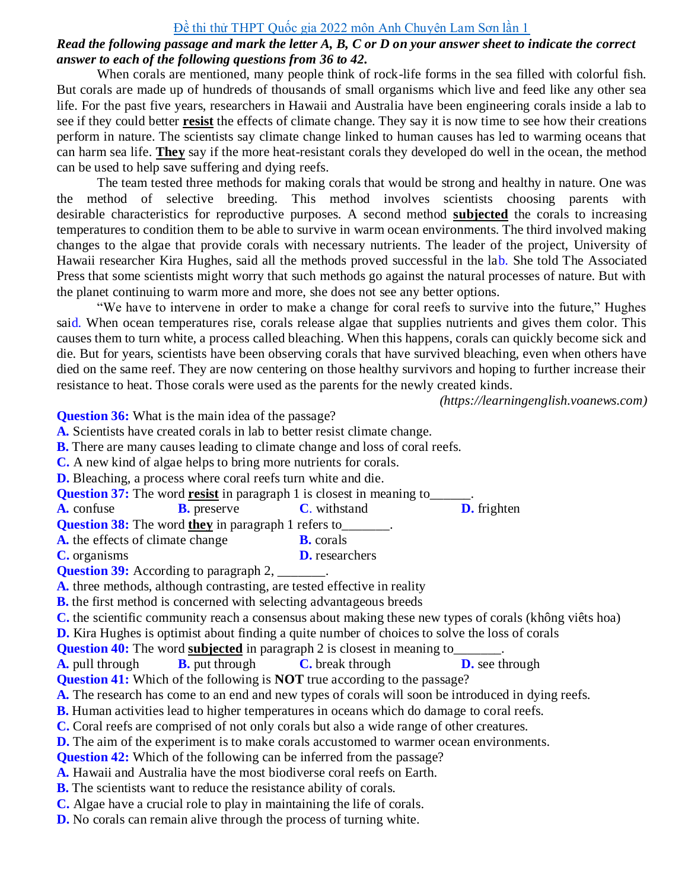#### *Read the following passage and mark the letter A, B, C or D on your answer sheet to indicate the correct answer to each of the following questions from 36 to 42.*

When corals are mentioned, many people think of rock-life forms in the sea filled with colorful fish. But corals are made up of hundreds of thousands of small organisms which live and feed like any other sea life. For the past five years, researchers in Hawaii and Australia have been engineering corals inside a lab to see if they could better **resist** the effects of climate change. They say it is now time to see how their creations perform in nature. The scientists say climate change linked to human causes has led to warming oceans that can harm sea life. **They** say if the more heat-resistant corals they developed do well in the ocean, the method can be used to help save suffering and dying reefs.

The team tested three methods for making corals that would be strong and healthy in nature. One was the method of selective breeding. This method involves scientists choosing parents with desirable characteristics for reproductive purposes. A second method **subjected** the corals to increasing temperatures to condition them to be able to survive in warm ocean environments. The third involved making changes to the algae that provide corals with necessary nutrients. The leader of the project, University of Hawaii researcher Kira Hughes, said all the methods proved successful in the lab. She told The Associated Press that some scientists might worry that such methods go against the natural processes of nature. But with the planet continuing to warm more and more, she does not see any better options.

"We have to intervene in order to make a change for coral reefs to survive into the future," Hughes said. When ocean temperatures rise, corals release algae that supplies nutrients and gives them color. This causes them to turn white, a process called bleaching. When this happens, corals can quickly become sick and die. But for years, scientists have been observing corals that have survived bleaching, even when others have died on the same reef. They are now centering on those healthy survivors and hoping to further increase their resistance to heat. Those corals were used as the parents for the newly created kinds.

*[\(https://learningenglish.voanews.com\)](https://learningenglish.voanews.com/)*

**Question 36:** What is the main idea of the passage? **A.** Scientists have created corals in lab to better resist climate change. **B.** There are many causes leading to climate change and loss of coral reefs. **C.** A new kind of algae helps to bring more nutrients for corals.

**D.** Bleaching, a process where coral reefs turn white and die.

**Question 37:** The word **resist** in paragraph 1 is closest in meaning to

**A.** confuse **B.** preserve **C**. withstand **D.** frighten

**Question 38:** The word **they** in paragraph 1 refers to\_\_\_\_\_\_\_.

- **A.** the effects of climate change **B.** corals
- **C.** organisms **D.** researchers

**Question 39:** According to paragraph 2, \_\_\_\_\_\_\_.

**A.** three methods, although contrasting, are tested effective in reality

**B.** the first method is concerned with selecting advantageous breeds

**C.** the scientific community reach a consensus about making these new types of corals (không viêts hoa)

**D.** Kira Hughes is optimist about finding a quite number of choices to solve the loss of corals

**Question 40:** The word **subjected** in paragraph 2 is closest in meaning to

**A.** pull through **B.** put through **C.** break through **D.** see through

**Question 41:** Which of the following is **NOT** true according to the passage?

**A.** The research has come to an end and new types of corals will soon be introduced in dying reefs.

**B.** Human activities lead to higher temperatures in oceans which do damage to coral reefs.

**C.** Coral reefs are comprised of not only corals but also a wide range of other creatures.

**D.** The aim of the experiment is to make corals accustomed to warmer ocean environments.

**Question 42:** Which of the following can be inferred from the passage?

**A.** Hawaii and Australia have the most biodiverse coral reefs on Earth.

**B.** The scientists want to reduce the resistance ability of corals.

**C.** Algae have a crucial role to play in maintaining the life of corals.

**D.** No corals can remain alive through the process of turning white.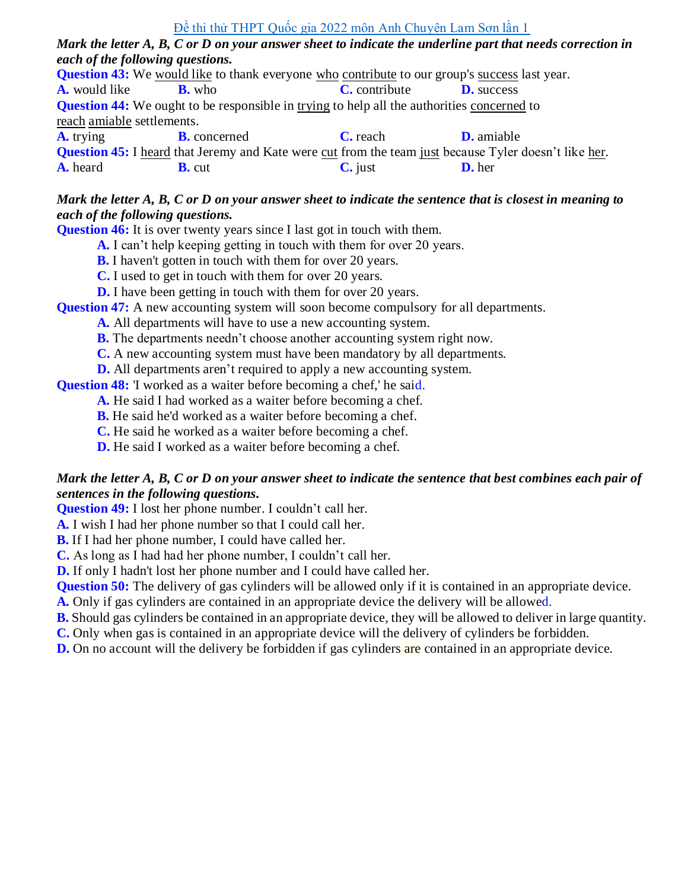*Mark the letter A, B, C or D on your answer sheet to indicate the underline part that needs correction in each of the following questions.*

**Question 43:** We would like to thank everyone who contribute to our group's success last year. **A.** would like **B.** who **C.** contribute **D.** success **Question 44:** We ought to be responsible in trying to help all the authorities concerned to reach amiable settlements. **A.** trying **B.** concerned **C.** reach **D.** amiable **Question 45:** I heard that Jeremy and Kate were cut from the team just because Tyler doesn't like her. **A.** heard **B.** cut **C.** just **D.** her

#### *Mark the letter A, B, C or D on your answer sheet to indicate the sentence that is closest in meaning to each of the following questions.*

**Question 46:** It is over twenty years since I last got in touch with them.

- **A.** I can't help keeping getting in touch with them for over 20 years.
- **B.** I haven't gotten in touch with them for over 20 years.
- **C.** I used to get in touch with them for over 20 years.
- **D.** I have been getting in touch with them for over 20 years.

**Question 47:** A [new](https://www.macmillandictionary.com/dictionary/british/new) [accounting](https://www.macmillandictionary.com/dictionary/british/accounting) system will [soon](https://www.macmillandictionary.com/dictionary/british/soon) become compulsory for all [departments.](https://www.macmillandictionary.com/dictionary/british/department)

- **A.** All departments will have to use a [new](https://www.macmillandictionary.com/dictionary/british/new) [accounting](https://www.macmillandictionary.com/dictionary/british/accounting) system.
- **B.** The departments needn't choose another [accounting](https://www.macmillandictionary.com/dictionary/british/accounting) system right now.
- **C.** A [new](https://www.macmillandictionary.com/dictionary/british/new) [accounting](https://www.macmillandictionary.com/dictionary/british/accounting) system must have been mandatory by all departments.
- **D.** All [departments](https://www.macmillandictionary.com/dictionary/british/department) aren't required to apply a [new](https://www.macmillandictionary.com/dictionary/british/new) [accounting](https://www.macmillandictionary.com/dictionary/british/accounting) system.

**Question 48:** I worked as a waiter before becoming a chef, he said.

- **A.** He said I had worked as a waiter before becoming a chef.
- **B.** He said he'd worked as a waiter before becoming a chef.
- **C.** He said he worked as a waiter before becoming a chef.
- **D.** He said I worked as a waiter before becoming a chef.

#### *Mark the letter A, B, C or D on your answer sheet to indicate the sentence that best combines each pair of sentences in the following questions.*

**Question 49:** I lost her phone number. I couldn't call her.

**A.** I wish I had her phone number so that I could call her.

**B.** If I had her phone number, I could have called her.

**C.** As long as I had had her phone number, I couldn't call her.

**D.** If only I hadn't lost her phone number and I could have called her.

**Question 50:** The delivery of gas cylinders will be allowed only if it is contained in an appropriate device.

- **A.** Only if gas cylinders are contained in an appropriate device the delivery will be allowed.
- **B.** Should gas cylinders be contained in an appropriate device, they will be allowed to deliver in large quantity.
- **C.** Only when gas is contained in an appropriate device will the delivery of cylinders be forbidden.
- **D.** On no account will the delivery be forbidden if gas cylinders are contained in an appropriate device.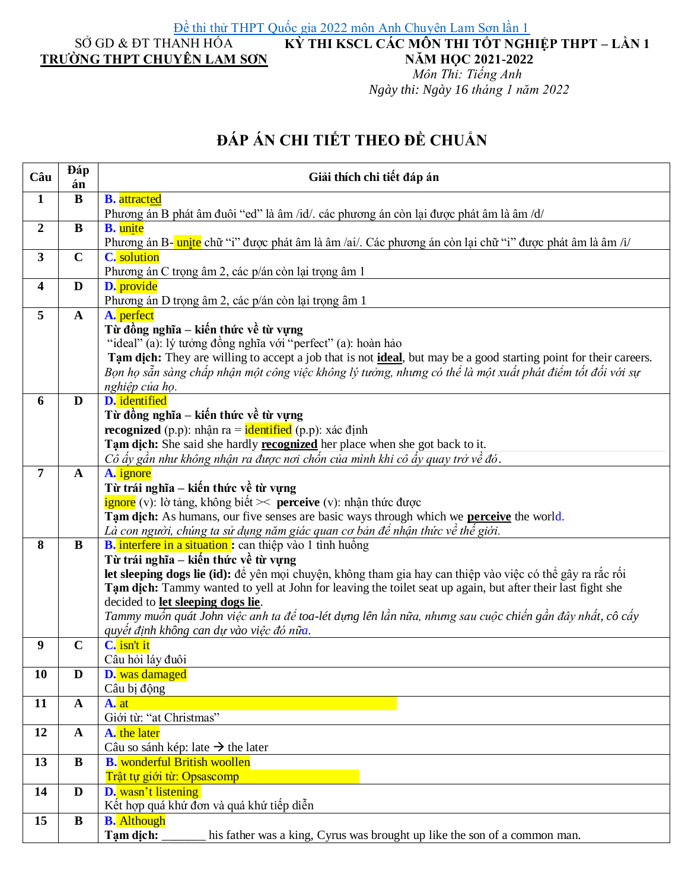**KỲ THI KSCL CÁC MÔN THI TỐT NGHIỆP THPT – LẦN 1**

### SỞ GD & ĐT THANH HÓA **TRƯỜNG THPT CHUYÊN LAM SƠN**

## **NĂM HỌC 2021-2022**

*Môn Thi: Tiếng Anh Ngày thi: Ngày 16 tháng 1 năm 2022*

# ĐÁP ÁN CHI TIẾT THEO ĐỀ CHUẨN

| Câu                     | Đáp<br>án    | Giải thích chi tiết đáp án                                                                                                                |
|-------------------------|--------------|-------------------------------------------------------------------------------------------------------------------------------------------|
| $\mathbf{1}$            | $\bf{B}$     | <b>B.</b> attracted                                                                                                                       |
|                         |              | Phương án B phát âm đuôi "ed" là âm /id/. các phương án còn lại được phát âm là âm /d/                                                    |
| $\boldsymbol{2}$        | $\bf{B}$     | <b>B.</b> unite                                                                                                                           |
|                         |              | Phương án B- unite chữ "i" được phát âm là âm /ai/. Các phương án còn lại chữ "i" được phát âm là âm /i/                                  |
| $\overline{\mathbf{3}}$ | $\mathbf C$  | C. solution                                                                                                                               |
|                         |              | Phương án C trọng âm 2, các p/án còn lại trọng âm 1                                                                                       |
| 4                       | D            | D. provide                                                                                                                                |
| 5                       |              | Phương án D trọng âm 2, các p/án còn lại trọng âm 1                                                                                       |
|                         | $\mathbf{A}$ | A. perfect<br>Từ đồng nghĩa – kiến thức về từ vựng                                                                                        |
|                         |              | "ideal" (a): lý tưởng đồng nghĩa với "perfect" (a): hoàn hảo                                                                              |
|                         |              | Tam dich: They are willing to accept a job that is not <i>ideal</i> , but may be a good starting point for their careers.                 |
|                         |              | Bọn họ sẵn sàng chấp nhận một công việc không lý tưởng, nhưng có thể là một xuất phát điểm tốt đối với sự                                 |
|                         |              | nghiệp của họ.                                                                                                                            |
| 6                       | D            | D. identified                                                                                                                             |
|                         |              | Từ đồng nghĩa – kiến thức về từ vựng                                                                                                      |
|                         |              | <b>recognized</b> (p.p): nhận ra = $\frac{1}{\text{identified}}$ (p.p): xác định                                                          |
|                         |              | Tạm dịch: She said she hardly recognized her place when she got back to it.                                                               |
|                         |              | Cô ấy gần như không nhận ra được nơi chốn của mình khi cô ấy quay trở về đó.                                                              |
| 7                       | $\mathbf{A}$ | A. ignore                                                                                                                                 |
|                         |              | Từ trái nghĩa – kiến thức về từ vựng                                                                                                      |
|                         |              | $\frac{1}{2}$ ignore (v): lờ tảng, không biết $\frac{1}{2}$ perceive (v): nhận thức được                                                  |
|                         |              | Tam dich: As humans, our five senses are basic ways through which we perceive the world.                                                  |
| 8                       | $\bf{B}$     | Là con người, chúng ta sử dụng năm giác quan cơ bản để nhận thức về thế giới.<br>B. interfere in a situation : can thiệp vào 1 tình huống |
|                         |              | Từ trái nghĩa – kiến thức về từ vựng                                                                                                      |
|                         |              | let sleeping dogs lie (id): để yên mọi chuyện, không tham gia hay can thiệp vào việc có thể gây ra rắc rối                                |
|                         |              | Tạm dịch: Tammy wanted to yell at John for leaving the toilet seat up again, but after their last fight she                               |
|                         |              | decided to let sleeping dogs lie.                                                                                                         |
|                         |              | Tammy muốn quát John việc anh ta để toa-lét dựng lên lần nữa, nhưng sau cuộc chiến gần đây nhất, cô cấy                                   |
|                         |              | quyết định không can dự vào việc đó nữa.                                                                                                  |
| 9                       | $\mathbf C$  | C. isn't it                                                                                                                               |
|                         |              | Câu hỏi láy đuôi                                                                                                                          |
| 10                      | D            | D. was damaged                                                                                                                            |
|                         |              | Câu bị động                                                                                                                               |
| 11                      | $\mathbf A$  | A. at<br>Giới từ: "at Christmas"                                                                                                          |
| 12                      | $\mathbf{A}$ | A. the later                                                                                                                              |
|                         |              | Câu so sánh kép: late $\rightarrow$ the later                                                                                             |
| 13                      | $\bf{B}$     | <b>B.</b> wonderful British woollen                                                                                                       |
|                         |              | Trật tự giới từ: Opsascomp                                                                                                                |
| 14                      | D            | D. wasn't listening                                                                                                                       |
|                         |              | Kết hợp quá khứ đơn và quá khứ tiếp diễn                                                                                                  |
| 15                      | B            | <b>B.</b> Although                                                                                                                        |
|                         |              | his father was a king, Cyrus was brought up like the son of a common man.<br>Tạm dịch:                                                    |
|                         |              |                                                                                                                                           |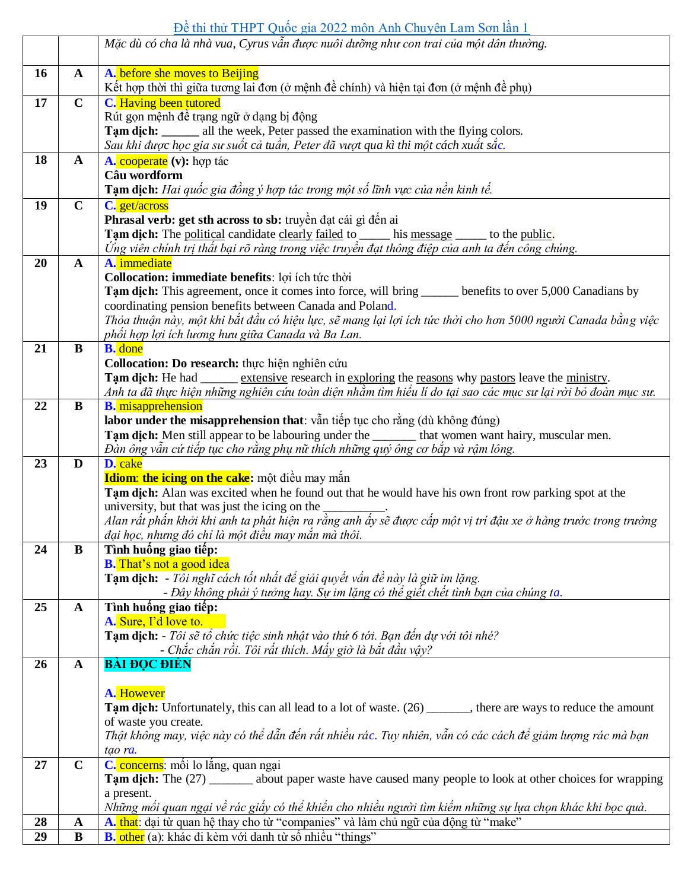[Đề thi thử THPT Quốc gia 2022 môn Anh Chuyên Lam Sơn lần 1](https://doctailieu.com/de-thi-thu-thpt-quoc-gia-2022-mon-anh-chuyen-lam-son-lan-1)

|    |              | I the TIM I Quot $\mathbb{R}^m$ 2022 mon Time Cha for Bani bon ran I<br>Mặc dù có cha là nhà vua, Cyrus vẫn được nuôi dưỡng như con trai của một dân thường.                                  |
|----|--------------|-----------------------------------------------------------------------------------------------------------------------------------------------------------------------------------------------|
|    |              |                                                                                                                                                                                               |
| 16 | $\mathbf{A}$ | A. before she moves to Beijing                                                                                                                                                                |
|    |              | Kết hợp thời thì giữa tương lai đơn (ở mệnh đề chính) và hiện tại đơn (ở mệnh đề phụ)                                                                                                         |
| 17 | $\mathbf C$  | <b>C.</b> Having been tutored                                                                                                                                                                 |
|    |              | Rút gọn mệnh đề trạng ngữ ở dạng bị động                                                                                                                                                      |
|    |              | <b>Tam dich:</b> _______ all the week, Peter passed the examination with the flying colors.                                                                                                   |
|    |              | Sau khi được học gia sư suốt cả tuần, Peter đã vượt qua kì thi một cách xuất sắc.                                                                                                             |
| 18 | $\mathbf{A}$ | A. cooperate (v): hop tác                                                                                                                                                                     |
|    |              | Câu wordform                                                                                                                                                                                  |
|    |              | Tạm dịch: Hai quốc gia đồng ý hợp tác trong một số lĩnh vực của nền kinh tế.                                                                                                                  |
| 19 | $\mathbf C$  | C. get/across<br>Phrasal verb: get sth across to sb: truyền đạt cái gì đến ai                                                                                                                 |
|    |              |                                                                                                                                                                                               |
|    |              | Tam dich: The political candidate clearly failed to _____ his message _____ to the public.<br>Ứng viên chính trị thất bại rõ ràng trong việc truyền đạt thông điệp của anh ta đến công chúng. |
| 20 | $\mathbf{A}$ | A. immediate                                                                                                                                                                                  |
|    |              | Collocation: immediate benefits: loi ích túc thời                                                                                                                                             |
|    |              | Tam dich: This agreement, once it comes into force, will bring ______ benefits to over 5,000 Canadians by                                                                                     |
|    |              | coordinating pension benefits between Canada and Poland.                                                                                                                                      |
|    |              | Thỏa thuận này, một khi bắt đầu có hiệu lực, sẽ mang lại lợi ích tức thời cho hơn 5000 người Canada bằng việc                                                                                 |
|    |              | phối hợp lợi ích lương hưu giữa Canada và Ba Lan.                                                                                                                                             |
| 21 | $\bf{B}$     | <b>B.</b> done                                                                                                                                                                                |
|    |              | Collocation: Do research: thực hiện nghiên cứu                                                                                                                                                |
|    |              | Tam dich: He had _______ extensive research in exploring the reasons why pastors leave the ministry.                                                                                          |
|    |              | Anh ta đã thực hiện những nghiên cứu toàn diện nhằm tìm hiểu lí do tại sao các mục sư lại rời bỏ đoàn mục sư.                                                                                 |
| 22 | B            | <b>B.</b> misapprehension                                                                                                                                                                     |
|    |              | labor under the misapprehension that: vẫn tiếp tục cho rằng (dù không đúng)                                                                                                                   |
|    |              | Tạm dịch: Men still appear to be labouring under the _______ that women want hairy, muscular men.                                                                                             |
|    |              | Đàn ông vẫn cứ tiếp tục cho rằng phụ nữ thích những quý ông cơ bắp và rậm lông.                                                                                                               |
| 23 | D            | D. cake                                                                                                                                                                                       |
|    |              | Idiom: the icing on the cake: một điều may mắn                                                                                                                                                |
|    |              | Tam dich: Alan was excited when he found out that he would have his own front row parking spot at the                                                                                         |
|    |              | university, but that was just the icing on the $\overline{\phantom{a}}$<br>Alan rất phấn khởi khi anh ta phát hiện ra rằng anh ấy sẽ được cấp một vị trí đậu xe ở hàng trước trong trường     |
|    |              | đại học, nhưng đó chỉ là một điều may mắn mà thôi.                                                                                                                                            |
| 24 | $\bf{B}$     | Tình huống giao tiếp:                                                                                                                                                                         |
|    |              | <b>B.</b> That's not a good idea                                                                                                                                                              |
|    |              | Tạm dịch: - Tôi nghĩ cách tốt nhất để giải quyết vấn đề này là giữ im lặng.                                                                                                                   |
|    |              | - Đây không phải ý tưởng hay. Sự im lặng có thể giết chết tình bạn của chúng ta.                                                                                                              |
| 25 | $\mathbf{A}$ | Tình huống giao tiếp:                                                                                                                                                                         |
|    |              | A. Sure, I'd love to.                                                                                                                                                                         |
|    |              | Tạm dịch: - Tôi sẽ tổ chức tiệc sinh nhật vào thứ 6 tới. Bạn đến dự với tôi nhé?                                                                                                              |
|    |              | - Chắc chắn rồi. Tôi rất thích. Mấy giờ là bắt đầu vậy?                                                                                                                                       |
| 26 | $\mathbf{A}$ | <b>BÀI ĐỌC ĐIỀN</b>                                                                                                                                                                           |
|    |              |                                                                                                                                                                                               |
|    |              | A. However                                                                                                                                                                                    |
|    |              | Tam dich: Unfortunately, this can all lead to a lot of waste. (26) ______, there are ways to reduce the amount                                                                                |
|    |              | of waste you create.<br>Thật không may, việc này có thể dẫn đến rất nhiều rác. Tuy nhiên, vẫn có các cách để giảm lượng rác mà bạn                                                            |
|    |              | tao ra.                                                                                                                                                                                       |
| 27 | $\mathbf C$  | C. concerns: mối lo lắng, quan ngại                                                                                                                                                           |
|    |              | Tam dich: The (27) _______ about paper waste have caused many people to look at other choices for wrapping                                                                                    |
|    |              | a present.                                                                                                                                                                                    |
|    |              | Những mối quan ngại về rác giấy có thể khiến cho nhiều người tìm kiếm những sự lựa chọn khác khi bọc quà.                                                                                     |
| 28 | $\mathbf{A}$ | A. that: đại từ quan hệ thay cho từ "companies" và làm chủ ngữ của động từ "make"                                                                                                             |
| 29 | $\bf{B}$     | B. other (a): khác đi kèm với danh từ số nhiều "things"                                                                                                                                       |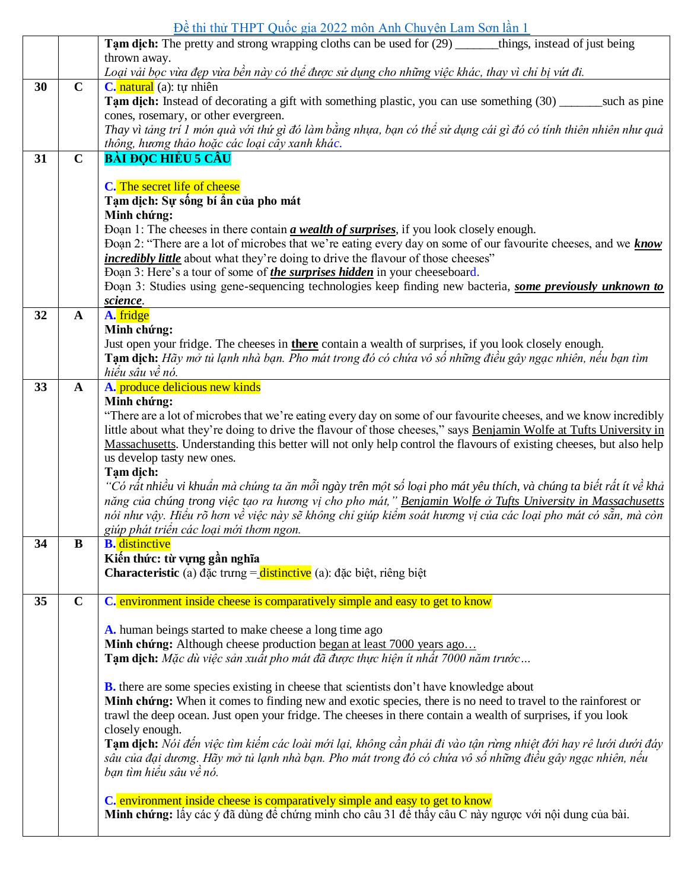|    |              | Tam dich: The pretty and strong wrapping cloths can be used for (29) ______things, instead of just being                                                                      |
|----|--------------|-------------------------------------------------------------------------------------------------------------------------------------------------------------------------------|
|    |              | thrown away.<br>Loại vải bọc vừa đẹp vừa bền này có thể được sử dụng cho những việc khác, thay vì chỉ bị vứt đi.                                                              |
| 30 | $\mathbf C$  | C. natural (a): tự nhiên                                                                                                                                                      |
|    |              | Tam dich: Instead of decorating a gift with something plastic, you can use something (30) ______ such as pine                                                                 |
|    |              | cones, rosemary, or other evergreen.                                                                                                                                          |
|    |              | Thay vì tảng trí 1 món quà với thứ gì đó làm bằng nhựa, bạn có thể sử dụng cái gì đó có tính thiên nhiên như quả<br>thông, hương thảo hoặc các loại cây xanh khác.            |
| 31 | $\mathbf C$  | <b>BÀI ĐỌC HIỀU 5 CÂU</b>                                                                                                                                                     |
|    |              |                                                                                                                                                                               |
|    |              | C. The secret life of cheese<br>Tạm dịch: Sự sống bí ẩn của pho mát                                                                                                           |
|    |              | Minh chứng:                                                                                                                                                                   |
|    |              | Đoạn 1: The cheeses in there contain <i>a wealth of surprises</i> , if you look closely enough.                                                                               |
|    |              | Doan 2: "There are a lot of microbes that we're eating every day on some of our favourite cheeses, and we know                                                                |
|    |              | <i>incredibly little</i> about what they're doing to drive the flavour of those cheeses"<br>Doan 3: Here's a tour of some of <i>the surprises hidden</i> in your cheeseboard. |
|    |              | Doan 3: Studies using gene-sequencing technologies keep finding new bacteria, some previously unknown to                                                                      |
|    |              | science.                                                                                                                                                                      |
| 32 | $\mathbf{A}$ | A. fridge                                                                                                                                                                     |
|    |              | Minh chứng:<br>Just open your fridge. The cheeses in <b>there</b> contain a wealth of surprises, if you look closely enough.                                                  |
|    |              | Tạm dịch: Hãy mở tủ lạnh nhà bạn. Pho mát trong đó có chứa vô số những điều gây ngạc nhiên, nếu bạn tìm                                                                       |
|    |              | hiểu sâu về nó.                                                                                                                                                               |
| 33 | $\mathbf{A}$ | A. produce delicious new kinds                                                                                                                                                |
|    |              | Minh chứng:<br>"There are a lot of microbes that we're eating every day on some of our favourite cheeses, and we know incredibly                                              |
|    |              | little about what they're doing to drive the flavour of those cheeses," says Benjamin Wolfe at Tufts University in                                                            |
|    |              | Massachusetts. Understanding this better will not only help control the flavours of existing cheeses, but also help                                                           |
|    |              | us develop tasty new ones.                                                                                                                                                    |
|    |              | Tạm dịch:<br>"Có rất nhiều vi khuẩn mà chúng ta ăn mỗi ngày trên một số loại pho mát yêu thích, và chúng ta biết rất ít về khả                                                |
|    |              | năng của chúng trong việc tạo ra hương vị cho pho mát," Benjamin Wolfe ở Tufts University in Massachusetts                                                                    |
|    |              | nói như vậy. Hiểu rõ hơn về việc này sẽ không chỉ giúp kiểm soát hương vị của các loại pho mát có sẵn, mà còn                                                                 |
|    |              | giúp phát triển các loại mới thơm ngon.                                                                                                                                       |
| 34 | B            | <b>B.</b> distinctive<br>Kiến thức: từ vựng gần nghĩa                                                                                                                         |
|    |              | <b>Characteristic</b> (a) đặc trưng $=\frac{distance}{\text{distinctive}}$ (a): đặc biệt, riêng biệt                                                                          |
|    |              |                                                                                                                                                                               |
| 35 | $\mathbf C$  | C. environment inside cheese is comparatively simple and easy to get to know                                                                                                  |
|    |              | A. human beings started to make cheese a long time ago                                                                                                                        |
|    |              | Minh chứng: Although cheese production began at least 7000 years ago                                                                                                          |
|    |              | Tạm dịch: Mặc dù việc sản xuất pho mát đã được thực hiện ít nhất 7000 năm trước                                                                                               |
|    |              | <b>B.</b> there are some species existing in cheese that scientists don't have knowledge about                                                                                |
|    |              | Minh chứng: When it comes to finding new and exotic species, there is no need to travel to the rainforest or                                                                  |
|    |              | trawl the deep ocean. Just open your fridge. The cheeses in there contain a wealth of surprises, if you look                                                                  |
|    |              | closely enough.<br>Tạm dịch: Nói đến việc tìm kiếm các loài mới lại, không cần phải đi vào tận rừng nhiệt đới hay rê lưới dưới đáy                                            |
|    |              | sâu của đại dương. Hãy mở tủ lạnh nhà bạn. Pho mát trong đó có chứa vô số những điều gây ngạc nhiên, nếu                                                                      |
|    |              | bạn tìm hiểu sâu về nó.                                                                                                                                                       |
|    |              | C. environment inside cheese is comparatively simple and easy to get to know                                                                                                  |
|    |              | Minh chứng: lấy các ý đã dùng để chứng minh cho câu 31 để thấy câu C này ngược với nội dung của bài.                                                                          |
|    |              |                                                                                                                                                                               |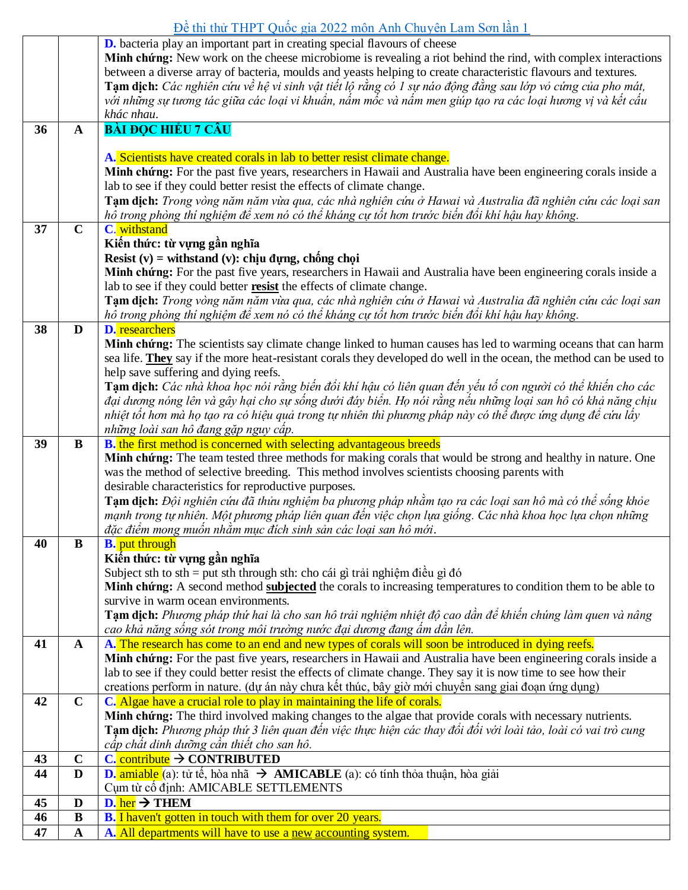|          |                  | <b>D.</b> bacteria play an important part in creating special flavours of cheese<br>Minh chứng: New work on the cheese microbiome is revealing a riot behind the rind, with complex interactions                             |
|----------|------------------|------------------------------------------------------------------------------------------------------------------------------------------------------------------------------------------------------------------------------|
|          |                  | between a diverse array of bacteria, moulds and yeasts helping to create characteristic flavours and textures.<br>Tạm dịch: Các nghiên cứu về hệ vi sinh vật tiết lộ rằng có 1 sự náo động đằng sau lớp vỏ cứng của pho mát, |
|          |                  | với những sự tương tác giữa các loại vi khuẩn, nấm mốc và nấm men giúp tạo ra các loại hương vị và kết cấu<br>khác nhau.                                                                                                     |
| 36       | $\mathbf{A}$     | <b>BÀI ĐỌC HIỂU 7 CÂU</b>                                                                                                                                                                                                    |
|          |                  | A. Scientists have created corals in lab to better resist climate change.                                                                                                                                                    |
|          |                  | Minh chứng: For the past five years, researchers in Hawaii and Australia have been engineering corals inside a                                                                                                               |
|          |                  | lab to see if they could better resist the effects of climate change.                                                                                                                                                        |
|          |                  | Tạm dịch: Trong vòng năm năm vừa qua, các nhà nghiên cứu ở Hawai và Australia đã nghiên cứu các loại san                                                                                                                     |
|          |                  | hô trong phòng thí nghiệm để xem nó có thể kháng cự tốt hơn trước biến đổi khí hậu hay không.                                                                                                                                |
| 37       | $\mathbf C$      | C. withstand                                                                                                                                                                                                                 |
|          |                  | Kiến thức: từ vựng gần nghĩa                                                                                                                                                                                                 |
|          |                  | Resist $(v)$ = withstand $(v)$ : chịu đựng, chống chọi                                                                                                                                                                       |
|          |                  | Minh chứng: For the past five years, researchers in Hawaii and Australia have been engineering corals inside a<br>lab to see if they could better <b>resist</b> the effects of climate change.                               |
|          |                  | Tạm dịch: Trong vòng năm năm vừa qua, các nhà nghiên cứu ở Hawai và Australia đã nghiên cứu các loại san                                                                                                                     |
|          |                  | hô trong phòng thí nghiệm để xem nó có thể kháng cự tốt hơn trước biến đổi khí hậu hay không.                                                                                                                                |
| 38       | D                | <b>D.</b> researchers                                                                                                                                                                                                        |
|          |                  | Minh chứng: The scientists say climate change linked to human causes has led to warming oceans that can harm                                                                                                                 |
|          |                  | sea life. They say if the more heat-resistant corals they developed do well in the ocean, the method can be used to                                                                                                          |
|          |                  | help save suffering and dying reefs.                                                                                                                                                                                         |
|          |                  | Tạm dịch: Các nhà khoa học nói rằng biến đổi khí hậu có liên quan đến yếu tố con người có thể khiến cho các                                                                                                                  |
|          |                  | đại dương nóng lên và gây hại cho sự sống dưới đáy biển. Họ nói rằng nếu những loại san hô có khả năng chịu<br>nhiệt tốt hơn mà họ tạo ra có hiệu quả trong tự nhiên thì phương pháp này có thể được ứng dụng để cứu lấy     |
|          |                  | những loài san hô đang gặp nguy cấp.                                                                                                                                                                                         |
| 39       | B                | <b>B.</b> the first method is concerned with selecting advantageous breeds                                                                                                                                                   |
|          |                  | Minh chứng: The team tested three methods for making corals that would be strong and healthy in nature. One                                                                                                                  |
|          |                  | was the method of selective breeding. This method involves scientists choosing parents with                                                                                                                                  |
|          |                  | desirable characteristics for reproductive purposes.                                                                                                                                                                         |
|          |                  | Tạm dịch: Đội nghiên cứu đã thửu nghiệm ba phương pháp nhằm tạo ra các loại san hô mà có thể sống khỏe                                                                                                                       |
|          |                  | mạnh trong tự nhiên. Một phương pháp liên quan đến việc chọn lựa giống. Các nhà khoa học lựa chọn những<br>đặc điểm mong muốn nhằm mục đích sinh sản các loại san hô mới.                                                    |
| 40       | $\bf{B}$         | <b>B.</b> put through                                                                                                                                                                                                        |
|          |                  | Kiến thức: từ vựng gần nghĩa                                                                                                                                                                                                 |
|          |                  | Subject sth to sth = put sth through sth: cho cái gì trải nghiệm điều gì đó                                                                                                                                                  |
|          |                  | Minh chứng: A second method subjected the corals to increasing temperatures to condition them to be able to                                                                                                                  |
|          |                  | survive in warm ocean environments.                                                                                                                                                                                          |
|          |                  | Tạm dịch: Phương pháp thứ hai là cho san hô trải nghiệm nhiệt độ cao dần để khiển chúng làm quen và nâng                                                                                                                     |
| 41       | $\mathbf{A}$     | cao khả năng sống sót trong môi trường nước đại dương đang ấm dần lên.<br>A. The research has come to an end and new types of corals will soon be introduced in dying reefs.                                                 |
|          |                  | Minh chứng: For the past five years, researchers in Hawaii and Australia have been engineering corals inside a                                                                                                               |
|          |                  | lab to see if they could better resist the effects of climate change. They say it is now time to see how their                                                                                                               |
|          |                  | creations perform in nature. (dự án này chưa kết thúc, bây giờ mới chuyển sang giai đoạn ứng dụng)                                                                                                                           |
| 42       | $\mathbf C$      | C. Algae have a crucial role to play in maintaining the life of corals.                                                                                                                                                      |
|          |                  | Minh chứng: The third involved making changes to the algae that provide corals with necessary nutrients.                                                                                                                     |
|          |                  | Tạm dịch: Phương pháp thứ 3 liên quan đến việc thực hiện các thay đổi đối với loài tảo, loài có vai trò cung                                                                                                                 |
|          |                  | cấp chất dinh dưỡng cần thiết cho san hô.                                                                                                                                                                                    |
| 43<br>44 | $\mathbf C$<br>D | $C$ . contribute $\rightarrow$ CONTRIBUTED<br><b>D.</b> amiable (a): tử tế, hòa nhã $\rightarrow$ <b>AMICABLE</b> (a): có tính thỏa thuận, hòa giải                                                                          |
|          |                  | Cum từ cổ đỉnh: AMICABLE SETTLEMENTS                                                                                                                                                                                         |
|          |                  |                                                                                                                                                                                                                              |
|          |                  |                                                                                                                                                                                                                              |
| 45<br>46 | D<br>$\bf{B}$    | $D.$ her $\rightarrow$ THEM<br>B. I haven't gotten in touch with them for over 20 years.                                                                                                                                     |